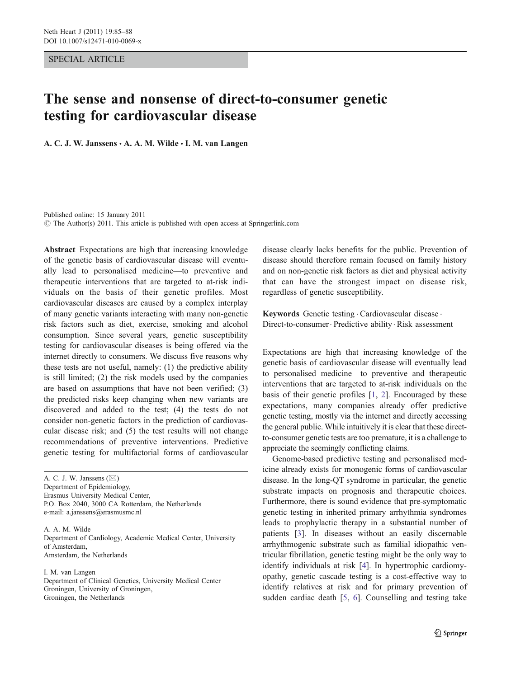## SPECIAL ARTICLE

## The sense and nonsense of direct-to-consumer genetic testing for cardiovascular disease

A. C. J. W. Janssens · A. A. M. Wilde · I. M. van Langen

Published online: 15 January 2011  $\odot$  The Author(s) 2011. This article is published with open access at Springerlink.com

Abstract Expectations are high that increasing knowledge of the genetic basis of cardiovascular disease will eventually lead to personalised medicine—to preventive and therapeutic interventions that are targeted to at-risk individuals on the basis of their genetic profiles. Most cardiovascular diseases are caused by a complex interplay of many genetic variants interacting with many non-genetic risk factors such as diet, exercise, smoking and alcohol consumption. Since several years, genetic susceptibility testing for cardiovascular diseases is being offered via the internet directly to consumers. We discuss five reasons why these tests are not useful, namely: (1) the predictive ability is still limited; (2) the risk models used by the companies are based on assumptions that have not been verified; (3) the predicted risks keep changing when new variants are discovered and added to the test; (4) the tests do not consider non-genetic factors in the prediction of cardiovascular disease risk; and (5) the test results will not change recommendations of preventive interventions. Predictive genetic testing for multifactorial forms of cardiovascular

A. C. J. W. Janssens  $(\boxtimes)$ Department of Epidemiology, Erasmus University Medical Center, P.O. Box 2040, 3000 CA Rotterdam, the Netherlands e-mail: a.janssens@erasmusmc.nl

A. A. M. Wilde Department of Cardiology, Academic Medical Center, University of Amsterdam, Amsterdam, the Netherlands

I. M. van Langen Department of Clinical Genetics, University Medical Center Groningen, University of Groningen, Groningen, the Netherlands

disease clearly lacks benefits for the public. Prevention of disease should therefore remain focused on family history and on non-genetic risk factors as diet and physical activity that can have the strongest impact on disease risk, regardless of genetic susceptibility.

Keywords Genetic testing . Cardiovascular disease . Direct-to-consumer. Predictive ability. Risk assessment

Expectations are high that increasing knowledge of the genetic basis of cardiovascular disease will eventually lead to personalised medicine—to preventive and therapeutic interventions that are targeted to at-risk individuals on the basis of their genetic profiles [\[1](#page-2-0), [2](#page-2-0)]. Encouraged by these expectations, many companies already offer predictive genetic testing, mostly via the internet and directly accessing the general public. While intuitively it is clear that these directto-consumer genetic tests are too premature, it is a challenge to appreciate the seemingly conflicting claims.

Genome-based predictive testing and personalised medicine already exists for monogenic forms of cardiovascular disease. In the long-QT syndrome in particular, the genetic substrate impacts on prognosis and therapeutic choices. Furthermore, there is sound evidence that pre-symptomatic genetic testing in inherited primary arrhythmia syndromes leads to prophylactic therapy in a substantial number of patients [[3\]](#page-2-0). In diseases without an easily discernable arrhythmogenic substrate such as familial idiopathic ventricular fibrillation, genetic testing might be the only way to identify individuals at risk [\[4](#page-2-0)]. In hypertrophic cardiomyopathy, genetic cascade testing is a cost-effective way to identify relatives at risk and for primary prevention of sudden cardiac death [[5,](#page-2-0) [6\]](#page-2-0). Counselling and testing take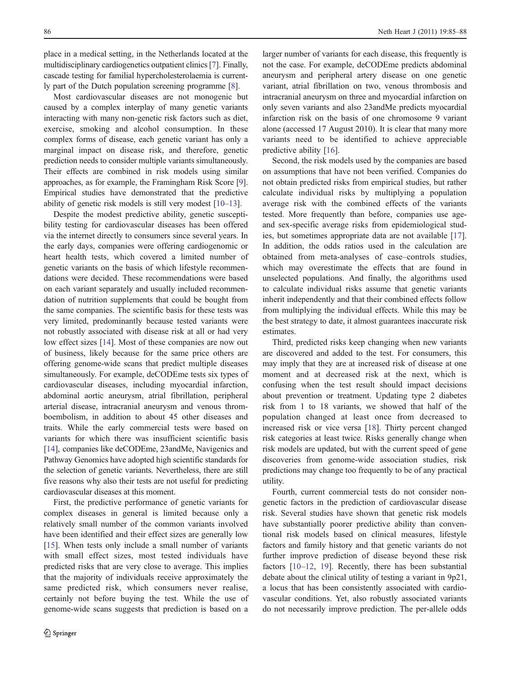place in a medical setting, in the Netherlands located at the multidisciplinary cardiogenetics outpatient clinics [\[7\]](#page-2-0). Finally, cascade testing for familial hypercholesterolaemia is currently part of the Dutch population screening programme [\[8](#page-2-0)].

Most cardiovascular diseases are not monogenic but caused by a complex interplay of many genetic variants interacting with many non-genetic risk factors such as diet, exercise, smoking and alcohol consumption. In these complex forms of disease, each genetic variant has only a marginal impact on disease risk, and therefore, genetic prediction needs to consider multiple variants simultaneously. Their effects are combined in risk models using similar approaches, as for example, the Framingham Risk Score [[9\]](#page-2-0). Empirical studies have demonstrated that the predictive ability of genetic risk models is still very modest [\[10](#page-3-0)–[13](#page-3-0)].

Despite the modest predictive ability, genetic susceptibility testing for cardiovascular diseases has been offered via the internet directly to consumers since several years. In the early days, companies were offering cardiogenomic or heart health tests, which covered a limited number of genetic variants on the basis of which lifestyle recommendations were decided. These recommendations were based on each variant separately and usually included recommendation of nutrition supplements that could be bought from the same companies. The scientific basis for these tests was very limited, predominantly because tested variants were not robustly associated with disease risk at all or had very low effect sizes [\[14](#page-3-0)]. Most of these companies are now out of business, likely because for the same price others are offering genome-wide scans that predict multiple diseases simultaneously. For example, deCODEme tests six types of cardiovascular diseases, including myocardial infarction, abdominal aortic aneurysm, atrial fibrillation, peripheral arterial disease, intracranial aneurysm and venous thromboembolism, in addition to about 45 other diseases and traits. While the early commercial tests were based on variants for which there was insufficient scientific basis [\[14](#page-3-0)], companies like deCODEme, 23andMe, Navigenics and Pathway Genomics have adopted high scientific standards for the selection of genetic variants. Nevertheless, there are still five reasons why also their tests are not useful for predicting cardiovascular diseases at this moment.

First, the predictive performance of genetic variants for complex diseases in general is limited because only a relatively small number of the common variants involved have been identified and their effect sizes are generally low [\[15](#page-3-0)]. When tests only include a small number of variants with small effect sizes, most tested individuals have predicted risks that are very close to average. This implies that the majority of individuals receive approximately the same predicted risk, which consumers never realise, certainly not before buying the test. While the use of genome-wide scans suggests that prediction is based on a

larger number of variants for each disease, this frequently is not the case. For example, deCODEme predicts abdominal aneurysm and peripheral artery disease on one genetic variant, atrial fibrillation on two, venous thrombosis and intracranial aneurysm on three and myocardial infarction on only seven variants and also 23andMe predicts myocardial infarction risk on the basis of one chromosome 9 variant alone (accessed 17 August 2010). It is clear that many more variants need to be identified to achieve appreciable predictive ability [[16\]](#page-3-0).

Second, the risk models used by the companies are based on assumptions that have not been verified. Companies do not obtain predicted risks from empirical studies, but rather calculate individual risks by multiplying a population average risk with the combined effects of the variants tested. More frequently than before, companies use ageand sex-specific average risks from epidemiological studies, but sometimes appropriate data are not available [[17\]](#page-3-0). In addition, the odds ratios used in the calculation are obtained from meta-analyses of case–controls studies, which may overestimate the effects that are found in unselected populations. And finally, the algorithms used to calculate individual risks assume that genetic variants inherit independently and that their combined effects follow from multiplying the individual effects. While this may be the best strategy to date, it almost guarantees inaccurate risk estimates.

Third, predicted risks keep changing when new variants are discovered and added to the test. For consumers, this may imply that they are at increased risk of disease at one moment and at decreased risk at the next, which is confusing when the test result should impact decisions about prevention or treatment. Updating type 2 diabetes risk from 1 to 18 variants, we showed that half of the population changed at least once from decreased to increased risk or vice versa [[18\]](#page-3-0). Thirty percent changed risk categories at least twice. Risks generally change when risk models are updated, but with the current speed of gene discoveries from genome-wide association studies, risk predictions may change too frequently to be of any practical utility.

Fourth, current commercial tests do not consider nongenetic factors in the prediction of cardiovascular disease risk. Several studies have shown that genetic risk models have substantially poorer predictive ability than conventional risk models based on clinical measures, lifestyle factors and family history and that genetic variants do not further improve prediction of disease beyond these risk factors [[10](#page-3-0)–[12,](#page-3-0) [19](#page-3-0)]. Recently, there has been substantial debate about the clinical utility of testing a variant in 9p21, a locus that has been consistently associated with cardiovascular conditions. Yet, also robustly associated variants do not necessarily improve prediction. The per-allele odds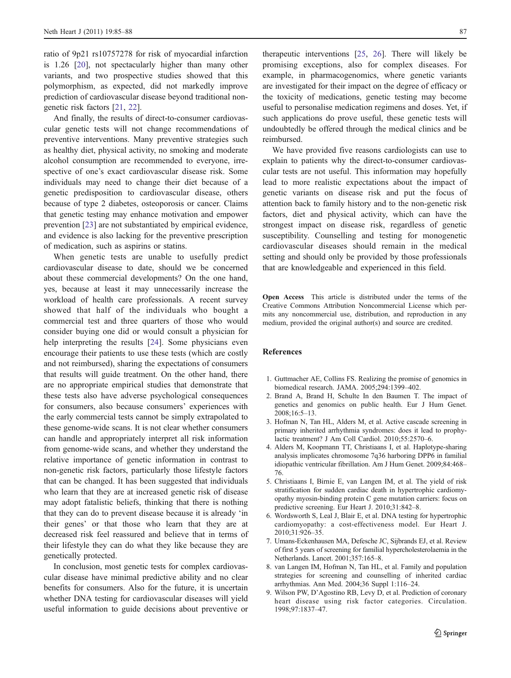<span id="page-2-0"></span>ratio of 9p21 rs10757278 for risk of myocardial infarction is 1.26 [[20\]](#page-3-0), not spectacularly higher than many other variants, and two prospective studies showed that this polymorphism, as expected, did not markedly improve prediction of cardiovascular disease beyond traditional nongenetic risk factors [\[21](#page-3-0), [22\]](#page-3-0).

And finally, the results of direct-to-consumer cardiovascular genetic tests will not change recommendations of preventive interventions. Many preventive strategies such as healthy diet, physical activity, no smoking and moderate alcohol consumption are recommended to everyone, irrespective of one's exact cardiovascular disease risk. Some individuals may need to change their diet because of a genetic predisposition to cardiovascular disease, others because of type 2 diabetes, osteoporosis or cancer. Claims that genetic testing may enhance motivation and empower prevention [\[23](#page-3-0)] are not substantiated by empirical evidence, and evidence is also lacking for the preventive prescription of medication, such as aspirins or statins.

When genetic tests are unable to usefully predict cardiovascular disease to date, should we be concerned about these commercial developments? On the one hand, yes, because at least it may unnecessarily increase the workload of health care professionals. A recent survey showed that half of the individuals who bought a commercial test and three quarters of those who would consider buying one did or would consult a physician for help interpreting the results [\[24](#page-3-0)]. Some physicians even encourage their patients to use these tests (which are costly and not reimbursed), sharing the expectations of consumers that results will guide treatment. On the other hand, there are no appropriate empirical studies that demonstrate that these tests also have adverse psychological consequences for consumers, also because consumers' experiences with the early commercial tests cannot be simply extrapolated to these genome-wide scans. It is not clear whether consumers can handle and appropriately interpret all risk information from genome-wide scans, and whether they understand the relative importance of genetic information in contrast to non-genetic risk factors, particularly those lifestyle factors that can be changed. It has been suggested that individuals who learn that they are at increased genetic risk of disease may adopt fatalistic beliefs, thinking that there is nothing that they can do to prevent disease because it is already 'in their genes' or that those who learn that they are at decreased risk feel reassured and believe that in terms of their lifestyle they can do what they like because they are genetically protected.

In conclusion, most genetic tests for complex cardiovascular disease have minimal predictive ability and no clear benefits for consumers. Also for the future, it is uncertain whether DNA testing for cardiovascular diseases will yield useful information to guide decisions about preventive or

therapeutic interventions [[25,](#page-3-0) [26\]](#page-3-0). There will likely be promising exceptions, also for complex diseases. For example, in pharmacogenomics, where genetic variants are investigated for their impact on the degree of efficacy or the toxicity of medications, genetic testing may become useful to personalise medication regimens and doses. Yet, if such applications do prove useful, these genetic tests will undoubtedly be offered through the medical clinics and be reimbursed.

We have provided five reasons cardiologists can use to explain to patients why the direct-to-consumer cardiovascular tests are not useful. This information may hopefully lead to more realistic expectations about the impact of genetic variants on disease risk and put the focus of attention back to family history and to the non-genetic risk factors, diet and physical activity, which can have the strongest impact on disease risk, regardless of genetic susceptibility. Counselling and testing for monogenetic cardiovascular diseases should remain in the medical setting and should only be provided by those professionals that are knowledgeable and experienced in this field.

Open Access This article is distributed under the terms of the Creative Commons Attribution Noncommercial License which permits any noncommercial use, distribution, and reproduction in any medium, provided the original author(s) and source are credited.

## References

- 1. Guttmacher AE, Collins FS. Realizing the promise of genomics in biomedical research. JAMA. 2005;294:1399–402.
- 2. Brand A, Brand H, Schulte In den Baumen T. The impact of genetics and genomics on public health. Eur J Hum Genet. 2008;16:5–13.
- 3. Hofman N, Tan HL, Alders M, et al. Active cascade screening in primary inherited arrhythmia syndromes: does it lead to prophylactic treatment? J Am Coll Cardiol. 2010;55:2570–6.
- 4. Alders M, Koopmann TT, Christiaans I, et al. Haplotype-sharing analysis implicates chromosome 7q36 harboring DPP6 in familial idiopathic ventricular fibrillation. Am J Hum Genet. 2009;84:468– 76.
- 5. Christiaans I, Birnie E, van Langen IM, et al. The yield of risk stratification for sudden cardiac death in hypertrophic cardiomyopathy myosin-binding protein C gene mutation carriers: focus on predictive screening. Eur Heart J. 2010;31:842–8.
- 6. Wordsworth S, Leal J, Blair E, et al. DNA testing for hypertrophic cardiomyopathy: a cost-effectiveness model. Eur Heart J. 2010;31:926–35.
- 7. Umans-Eckenhausen MA, Defesche JC, Sijbrands EJ, et al. Review of first 5 years of screening for familial hypercholesterolaemia in the Netherlands. Lancet. 2001;357:165–8.
- 8. van Langen IM, Hofman N, Tan HL, et al. Family and population strategies for screening and counselling of inherited cardiac arrhythmias. Ann Med. 2004;36 Suppl 1:116–24.
- 9. Wilson PW, D'Agostino RB, Levy D, et al. Prediction of coronary heart disease using risk factor categories. Circulation. 1998;97:1837–47.